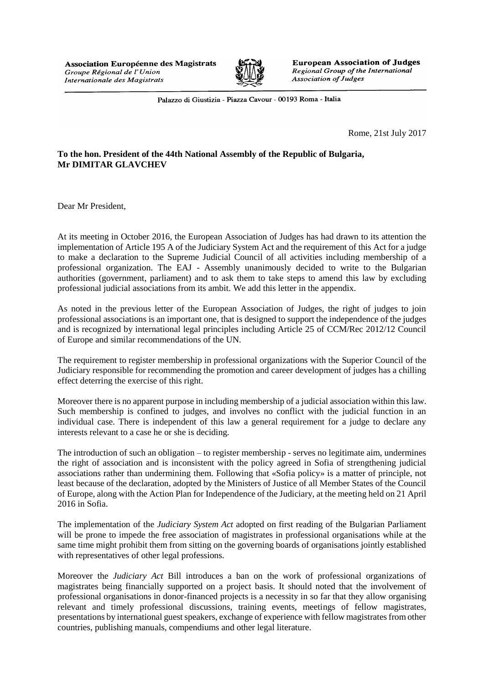

**European Association of Judges** Regional Group of the International **Association of Judges** 

Palazzo di Giustizia - Piazza Cavour - 00193 Roma - Italia

Rome, 21st July 2017

## **To the hon. President of the 44th National Assembly of the Republic of Bulgaria, Mr DIMITAR GLAVCHEV**

Dear Mr President,

At its meeting in October 2016, the European Association of Judges has had drawn to its attention the implementation of Article 195 A of the Judiciary System Act and the requirement of this Act for a judge to make a declaration to the Supreme Judicial Council of all activities including membership of a professional organization. The EAJ - Assembly unanimously decided to write to the Bulgarian authorities (government, parliament) and to ask them to take steps to amend this law by excluding professional judicial associations from its ambit. We add this letter in the appendix.

As noted in the previous letter of the European Association of Judges, the right of judges to join professional associations is an important one, that is designed to support the independence of the judges and is recognized by international legal principles including Article 25 of CCM/Rec 2012/12 Council of Europe and similar recommendations of the UN.

The requirement to register membership in professional organizations with the Superior Council of the Judiciary responsible for recommending the promotion and career development of judges has a chilling effect deterring the exercise of this right.

Moreover there is no apparent purpose in including membership of a judicial association within this law. Such membership is confined to judges, and involves no conflict with the judicial function in an individual case. There is independent of this law a general requirement for a judge to declare any interests relevant to a case he or she is deciding.

The introduction of such an obligation – to register membership - serves no legitimate aim, undermines the right of association and is inconsistent with the policy agreed in Sofia of strengthening judicial associations rather than undermining them. Following that «Sofia policy» is a matter of principle, not least because of the declaration, adopted by the Ministers of Justice of all Member States of the Council of Europe, along with the Action Plan for Independence of the Judiciary, at the meeting held on 21 April 2016 in Sofia.

The implementation of the *Judiciary System Act* adopted on first reading of the Bulgarian Parliament will be prone to impede the free association of magistrates in professional organisations while at the same time might prohibit them from sitting on the governing boards of organisations jointly established with representatives of other legal professions.

Moreover the *Judiciary Act* Bill introduces a ban on the work of professional organizations of magistrates being financially supported on a project basis. It should noted that the involvement of professional organisations in donor-financed projects is a necessity in so far that they allow organising relevant and timely professional discussions, training events, meetings of fellow magistrates, presentations by international guest speakers, exchange of experience with fellow magistrates from other countries, publishing manuals, compendiums and other legal literature.